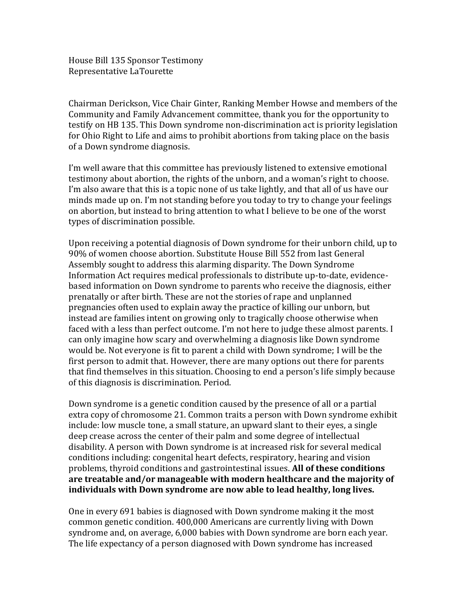House Bill 135 Sponsor Testimony Representative LaTourette

Chairman Derickson, Vice Chair Ginter, Ranking Member Howse and members of the Community and Family Advancement committee, thank you for the opportunity to testify on HB 135. This Down syndrome non-discrimination act is priority legislation for Ohio Right to Life and aims to prohibit abortions from taking place on the basis of a Down syndrome diagnosis.

I'm well aware that this committee has previously listened to extensive emotional testimony about abortion, the rights of the unborn, and a woman's right to choose. I'm also aware that this is a topic none of us take lightly, and that all of us have our minds made up on. I'm not standing before you today to try to change your feelings on abortion, but instead to bring attention to what I believe to be one of the worst types of discrimination possible.

Upon receiving a potential diagnosis of Down syndrome for their unborn child, up to 90% of women choose abortion. Substitute House Bill 552 from last General Assembly sought to address this alarming disparity. The Down Syndrome Information Act requires medical professionals to distribute up-to-date, evidencebased information on Down syndrome to parents who receive the diagnosis, either prenatally or after birth. These are not the stories of rape and unplanned pregnancies often used to explain away the practice of killing our unborn, but instead are families intent on growing only to tragically choose otherwise when faced with a less than perfect outcome. I'm not here to judge these almost parents. I can only imagine how scary and overwhelming a diagnosis like Down syndrome would be. Not everyone is fit to parent a child with Down syndrome; I will be the first person to admit that. However, there are many options out there for parents that find themselves in this situation. Choosing to end a person's life simply because of this diagnosis is discrimination. Period.

Down syndrome is a genetic condition caused by the presence of all or a partial extra copy of chromosome 21. Common traits a person with Down syndrome exhibit include: low muscle tone, a small stature, an upward slant to their eyes, a single deep crease across the center of their palm and some degree of intellectual disability. A person with Down syndrome is at increased risk for several medical conditions including: congenital heart defects, respiratory, hearing and vision problems, thyroid conditions and gastrointestinal issues. **All of these conditions are treatable and/or manageable with modern healthcare and the majority of individuals with Down syndrome are now able to lead healthy, long lives.**

One in every 691 babies is diagnosed with Down syndrome making it the most common genetic condition. 400,000 Americans are currently living with Down syndrome and, on average, 6,000 babies with Down syndrome are born each year. The life expectancy of a person diagnosed with Down syndrome has increased